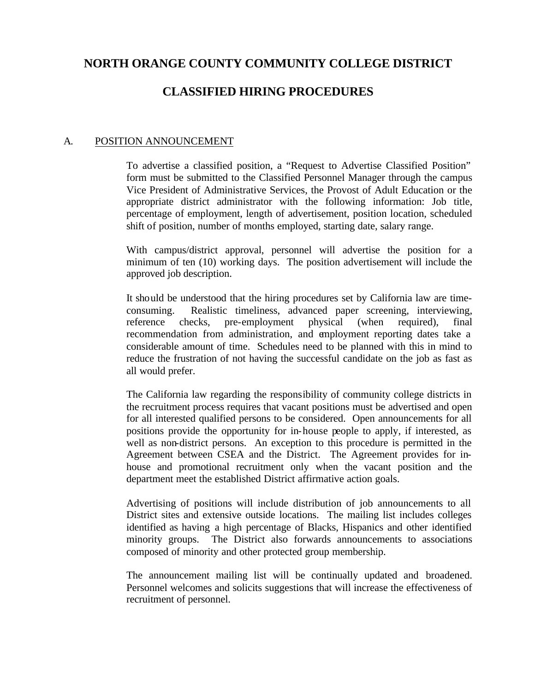# **NORTH ORANGE COUNTY COMMUNITY COLLEGE DISTRICT**

## **CLASSIFIED HIRING PROCEDURES**

## A. POSITION ANNOUNCEMENT

To advertise a classified position, a "Request to Advertise Classified Position" form must be submitted to the Classified Personnel Manager through the campus Vice President of Administrative Services, the Provost of Adult Education or the appropriate district administrator with the following information: Job title, percentage of employment, length of advertisement, position location, scheduled shift of position, number of months employed, starting date, salary range.

With campus/district approval, personnel will advertise the position for a minimum of ten (10) working days. The position advertisement will include the approved job description.

It should be understood that the hiring procedures set by California law are timeconsuming. Realistic timeliness, advanced paper screening, interviewing, reference checks, pre-employment physical (when required), final recommendation from administration, and employment reporting dates take a considerable amount of time. Schedules need to be planned with this in mind to reduce the frustration of not having the successful candidate on the job as fast as all would prefer.

The California law regarding the responsibility of community college districts in the recruitment process requires that vacant positions must be advertised and open for all interested qualified persons to be considered. Open announcements for all positions provide the opportunity for in-house people to apply, if interested, as well as non-district persons. An exception to this procedure is permitted in the Agreement between CSEA and the District. The Agreement provides for inhouse and promotional recruitment only when the vacant position and the department meet the established District affirmative action goals.

Advertising of positions will include distribution of job announcements to all District sites and extensive outside locations. The mailing list includes colleges identified as having a high percentage of Blacks, Hispanics and other identified minority groups. The District also forwards announcements to associations composed of minority and other protected group membership.

The announcement mailing list will be continually updated and broadened. Personnel welcomes and solicits suggestions that will increase the effectiveness of recruitment of personnel.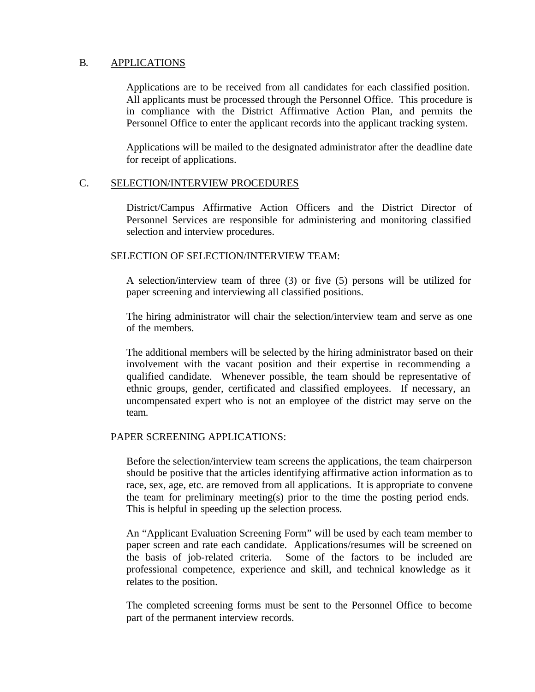## B. APPLICATIONS

Applications are to be received from all candidates for each classified position. All applicants must be processed through the Personnel Office. This procedure is in compliance with the District Affirmative Action Plan, and permits the Personnel Office to enter the applicant records into the applicant tracking system.

Applications will be mailed to the designated administrator after the deadline date for receipt of applications.

## C. SELECTION/INTERVIEW PROCEDURES

District/Campus Affirmative Action Officers and the District Director of Personnel Services are responsible for administering and monitoring classified selection and interview procedures.

#### SELECTION OF SELECTION/INTERVIEW TEAM:

A selection/interview team of three (3) or five (5) persons will be utilized for paper screening and interviewing all classified positions.

The hiring administrator will chair the selection/interview team and serve as one of the members.

The additional members will be selected by the hiring administrator based on their involvement with the vacant position and their expertise in recommending a qualified candidate. Whenever possible, the team should be representative of ethnic groups, gender, certificated and classified employees. If necessary, an uncompensated expert who is not an employee of the district may serve on the team.

#### PAPER SCREENING APPLICATIONS:

Before the selection/interview team screens the applications, the team chairperson should be positive that the articles identifying affirmative action information as to race, sex, age, etc. are removed from all applications. It is appropriate to convene the team for preliminary meeting(s) prior to the time the posting period ends. This is helpful in speeding up the selection process.

An "Applicant Evaluation Screening Form" will be used by each team member to paper screen and rate each candidate. Applications/resumes will be screened on the basis of job-related criteria. Some of the factors to be included are professional competence, experience and skill, and technical knowledge as it relates to the position.

The completed screening forms must be sent to the Personnel Office to become part of the permanent interview records.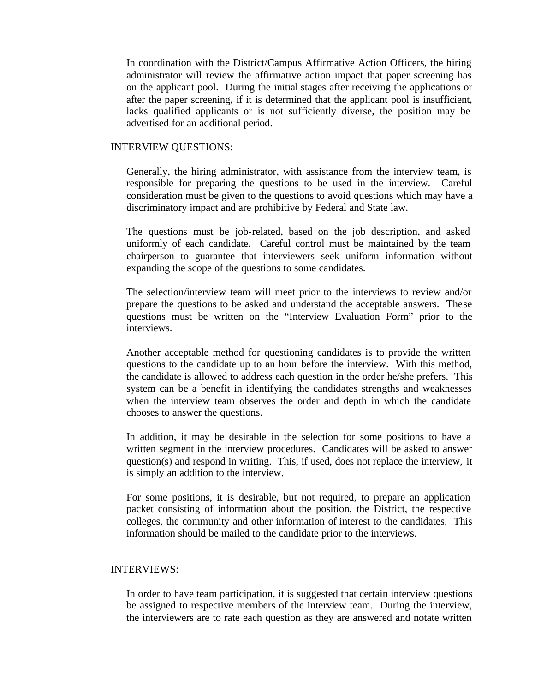In coordination with the District/Campus Affirmative Action Officers, the hiring administrator will review the affirmative action impact that paper screening has on the applicant pool. During the initial stages after receiving the applications or after the paper screening, if it is determined that the applicant pool is insufficient, lacks qualified applicants or is not sufficiently diverse, the position may be advertised for an additional period.

#### INTERVIEW QUESTIONS:

Generally, the hiring administrator, with assistance from the interview team, is responsible for preparing the questions to be used in the interview. Careful consideration must be given to the questions to avoid questions which may have a discriminatory impact and are prohibitive by Federal and State law.

The questions must be job-related, based on the job description, and asked uniformly of each candidate. Careful control must be maintained by the team chairperson to guarantee that interviewers seek uniform information without expanding the scope of the questions to some candidates.

The selection/interview team will meet prior to the interviews to review and/or prepare the questions to be asked and understand the acceptable answers. These questions must be written on the "Interview Evaluation Form" prior to the interviews.

Another acceptable method for questioning candidates is to provide the written questions to the candidate up to an hour before the interview. With this method, the candidate is allowed to address each question in the order he/she prefers. This system can be a benefit in identifying the candidates strengths and weaknesses when the interview team observes the order and depth in which the candidate chooses to answer the questions.

In addition, it may be desirable in the selection for some positions to have a written segment in the interview procedures. Candidates will be asked to answer question(s) and respond in writing. This, if used, does not replace the interview, it is simply an addition to the interview.

For some positions, it is desirable, but not required, to prepare an application packet consisting of information about the position, the District, the respective colleges, the community and other information of interest to the candidates. This information should be mailed to the candidate prior to the interviews.

#### INTERVIEWS:

In order to have team participation, it is suggested that certain interview questions be assigned to respective members of the interview team. During the interview, the interviewers are to rate each question as they are answered and notate written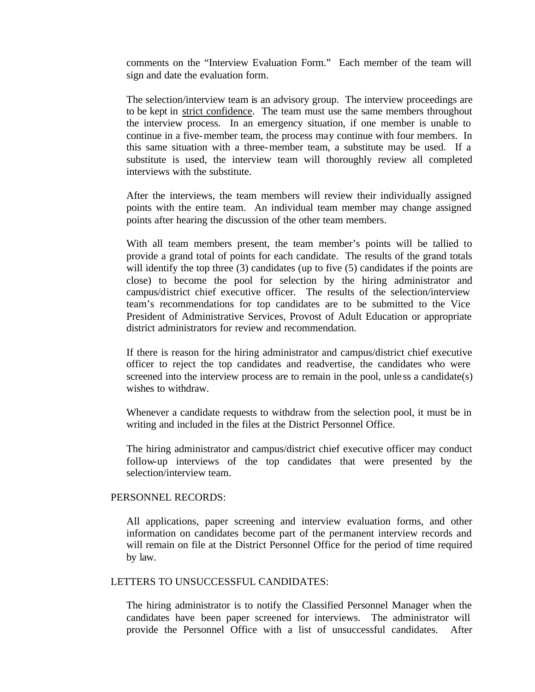comments on the "Interview Evaluation Form." Each member of the team will sign and date the evaluation form.

The selection/interview team is an advisory group. The interview proceedings are to be kept in strict confidence. The team must use the same members throughout the interview process. In an emergency situation, if one member is unable to continue in a five-member team, the process may continue with four members. In this same situation with a three-member team, a substitute may be used. If a substitute is used, the interview team will thoroughly review all completed interviews with the substitute.

After the interviews, the team members will review their individually assigned points with the entire team. An individual team member may change assigned points after hearing the discussion of the other team members.

With all team members present, the team member's points will be tallied to provide a grand total of points for each candidate. The results of the grand totals will identify the top three (3) candidates (up to five (5) candidates if the points are close) to become the pool for selection by the hiring administrator and campus/district chief executive officer. The results of the selection/interview team's recommendations for top candidates are to be submitted to the Vice President of Administrative Services, Provost of Adult Education or appropriate district administrators for review and recommendation.

If there is reason for the hiring administrator and campus/district chief executive officer to reject the top candidates and readvertise, the candidates who were screened into the interview process are to remain in the pool, unless a candidate(s) wishes to withdraw.

Whenever a candidate requests to withdraw from the selection pool, it must be in writing and included in the files at the District Personnel Office.

The hiring administrator and campus/district chief executive officer may conduct follow-up interviews of the top candidates that were presented by the selection/interview team.

#### PERSONNEL RECORDS:

All applications, paper screening and interview evaluation forms, and other information on candidates become part of the permanent interview records and will remain on file at the District Personnel Office for the period of time required by law.

#### LETTERS TO UNSUCCESSFUL CANDIDATES:

The hiring administrator is to notify the Classified Personnel Manager when the candidates have been paper screened for interviews. The administrator will provide the Personnel Office with a list of unsuccessful candidates. After